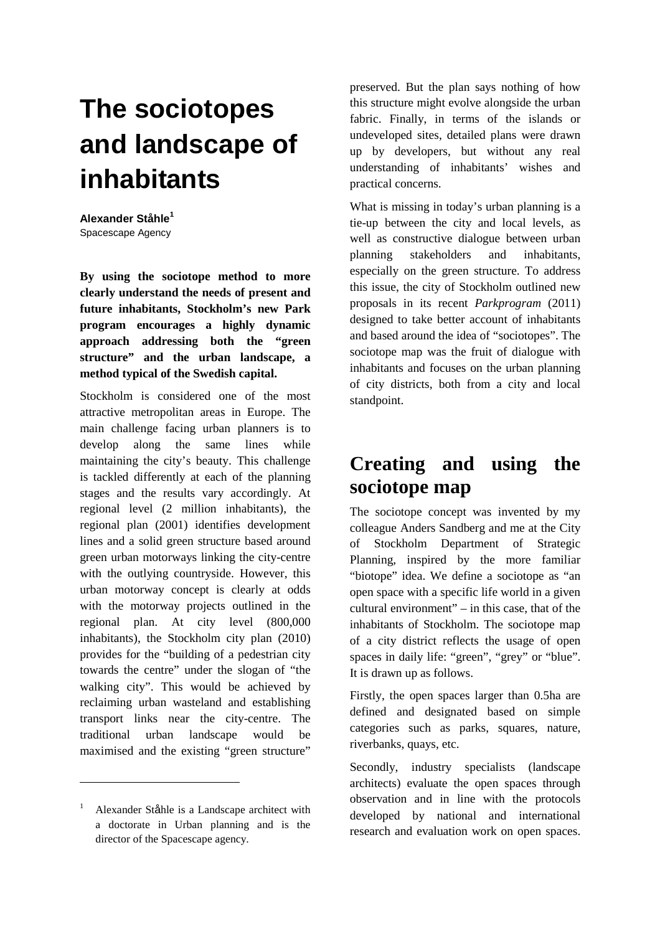## **The sociotopes and landscape of inhabitants**

**Alexander Ståhle<sup>1</sup>** Spacescape Agency

**By using the sociotope method to more clearly understand the needs of present and future inhabitants, Stockholm's new Park program encourages a highly dynamic approach addressing both the "green structure" and the urban landscape, a method typical of the Swedish capital.** 

Stockholm is considered one of the most attractive metropolitan areas in Europe. The main challenge facing urban planners is to develop along the same lines while maintaining the city's beauty. This challenge is tackled differently at each of the planning stages and the results vary accordingly. At regional level (2 million inhabitants), the regional plan (2001) identifies development lines and a solid green structure based around green urban motorways linking the city-centre with the outlying countryside. However, this urban motorway concept is clearly at odds with the motorway projects outlined in the regional plan. At city level (800,000 inhabitants), the Stockholm city plan (2010) provides for the "building of a pedestrian city towards the centre" under the slogan of "the walking city". This would be achieved by reclaiming urban wasteland and establishing transport links near the city-centre. The traditional urban landscape would be maximised and the existing "green structure"

 $\overline{a}$ 

preserved. But the plan says nothing of how this structure might evolve alongside the urban fabric. Finally, in terms of the islands or undeveloped sites, detailed plans were drawn up by developers, but without any real understanding of inhabitants' wishes and practical concerns.

What is missing in today's urban planning is a tie-up between the city and local levels, as well as constructive dialogue between urban planning stakeholders and inhabitants, especially on the green structure. To address this issue, the city of Stockholm outlined new proposals in its recent *Parkprogram* (2011) designed to take better account of inhabitants and based around the idea of "sociotopes". The sociotope map was the fruit of dialogue with inhabitants and focuses on the urban planning of city districts, both from a city and local standpoint.

## **Creating and using the sociotope map**

The sociotope concept was invented by my colleague Anders Sandberg and me at the City of Stockholm Department of Strategic Planning, inspired by the more familiar "biotope" idea. We define a sociotope as "an open space with a specific life world in a given cultural environment" – in this case, that of the inhabitants of Stockholm. The sociotope map of a city district reflects the usage of open spaces in daily life: "green", "grey" or "blue". It is drawn up as follows.

Firstly, the open spaces larger than 0.5ha are defined and designated based on simple categories such as parks, squares, nature, riverbanks, quays, etc.

Secondly, industry specialists (landscape architects) evaluate the open spaces through observation and in line with the protocols developed by national and international research and evaluation work on open spaces.

<sup>1</sup> Alexander Ståhle is a Landscape architect with a doctorate in Urban planning and is the director of the Spacescape agency.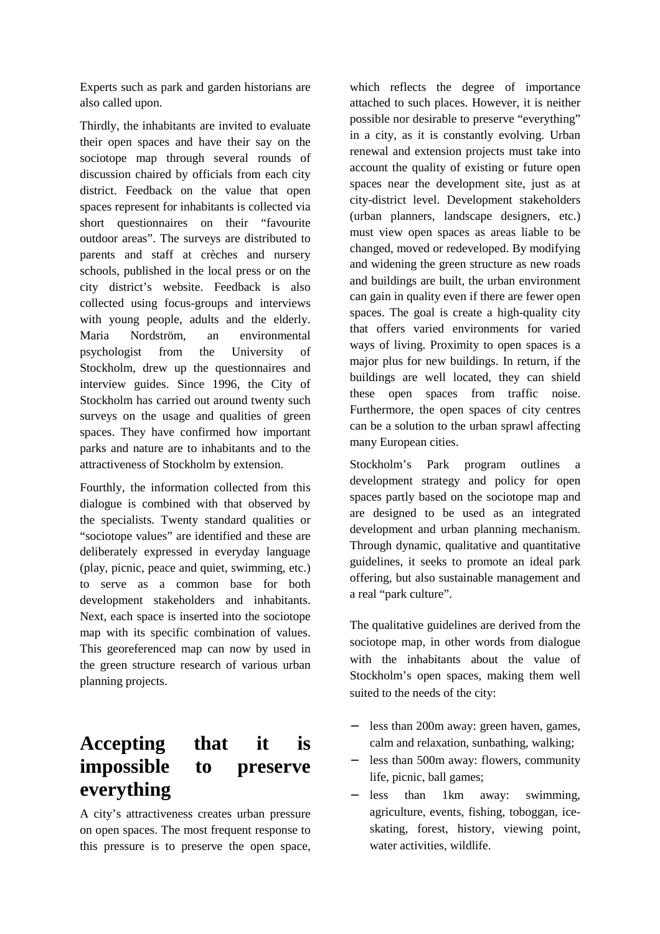Experts such as park and garden historians are also called upon.

Thirdly, the inhabitants are invited to evaluate their open spaces and have their say on the sociotope map through several rounds of discussion chaired by officials from each city district. Feedback on the value that open spaces represent for inhabitants is collected via short questionnaires on their "favourite outdoor areas". The surveys are distributed to parents and staff at crèches and nursery schools, published in the local press or on the city district's website. Feedback is also collected using focus-groups and interviews with young people, adults and the elderly. Maria Nordström, an environmental psychologist from the University of Stockholm, drew up the questionnaires and interview guides. Since 1996, the City of Stockholm has carried out around twenty such surveys on the usage and qualities of green spaces. They have confirmed how important parks and nature are to inhabitants and to the attractiveness of Stockholm by extension.

Fourthly, the information collected from this dialogue is combined with that observed by the specialists. Twenty standard qualities or "sociotope values" are identified and these are deliberately expressed in everyday language (play, picnic, peace and quiet, swimming, etc.) to serve as a common base for both development stakeholders and inhabitants. Next, each space is inserted into the sociotope map with its specific combination of values. This georeferenced map can now by used in the green structure research of various urban planning projects.

## **Accepting that it is impossible to preserve everything**

A city's attractiveness creates urban pressure on open spaces. The most frequent response to this pressure is to preserve the open space, which reflects the degree of importance attached to such places. However, it is neither possible nor desirable to preserve "everything" in a city, as it is constantly evolving. Urban renewal and extension projects must take into account the quality of existing or future open spaces near the development site, just as at city-district level. Development stakeholders (urban planners, landscape designers, etc.) must view open spaces as areas liable to be changed, moved or redeveloped. By modifying and widening the green structure as new roads and buildings are built, the urban environment can gain in quality even if there are fewer open spaces. The goal is create a high-quality city that offers varied environments for varied ways of living. Proximity to open spaces is a major plus for new buildings. In return, if the buildings are well located, they can shield these open spaces from traffic noise. Furthermore, the open spaces of city centres can be a solution to the urban sprawl affecting many European cities.

Stockholm's Park program outlines a development strategy and policy for open spaces partly based on the sociotope map and are designed to be used as an integrated development and urban planning mechanism. Through dynamic, qualitative and quantitative guidelines, it seeks to promote an ideal park offering, but also sustainable management and a real "park culture".

The qualitative guidelines are derived from the sociotope map, in other words from dialogue with the inhabitants about the value of Stockholm's open spaces, making them well suited to the needs of the city:

- − less than 200m away: green haven, games, calm and relaxation, sunbathing, walking;
- less than 500m away: flowers, community life, picnic, ball games;
- − less than 1km away: swimming, agriculture, events, fishing, toboggan, iceskating, forest, history, viewing point, water activities, wildlife.